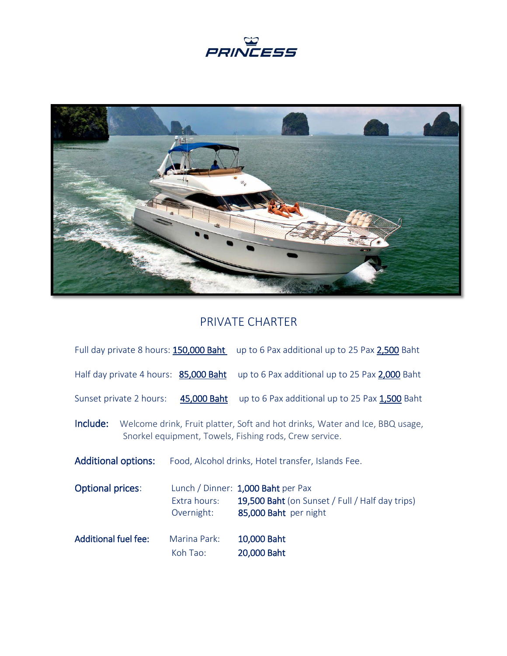



## PRIVATE CHARTER

| Full day private 8 hours: 150,000 Baht                                                                                                             |                            | up to 6 Pax additional up to 25 Pax 2,500 Baht                                                                 |
|----------------------------------------------------------------------------------------------------------------------------------------------------|----------------------------|----------------------------------------------------------------------------------------------------------------|
| Half day private 4 hours: 85,000 Baht                                                                                                              |                            | up to 6 Pax additional up to 25 Pax 2,000 Baht                                                                 |
| Sunset private 2 hours:                                                                                                                            | 45,000 Baht                | up to 6 Pax additional up to 25 Pax 1,500 Baht                                                                 |
| Include:<br>Welcome drink, Fruit platter, Soft and hot drinks, Water and Ice, BBQ usage,<br>Snorkel equipment, Towels, Fishing rods, Crew service. |                            |                                                                                                                |
| <b>Additional options:</b>                                                                                                                         |                            | Food, Alcohol drinks, Hotel transfer, Islands Fee.                                                             |
| <b>Optional prices:</b>                                                                                                                            | Extra hours:<br>Overnight: | Lunch / Dinner: 1,000 Baht per Pax<br>19,500 Baht (on Sunset / Full / Half day trips)<br>85,000 Baht per night |
| <b>Additional fuel fee:</b>                                                                                                                        | Marina Park:<br>Koh Tao:   | 10,000 Baht<br>20,000 Baht                                                                                     |